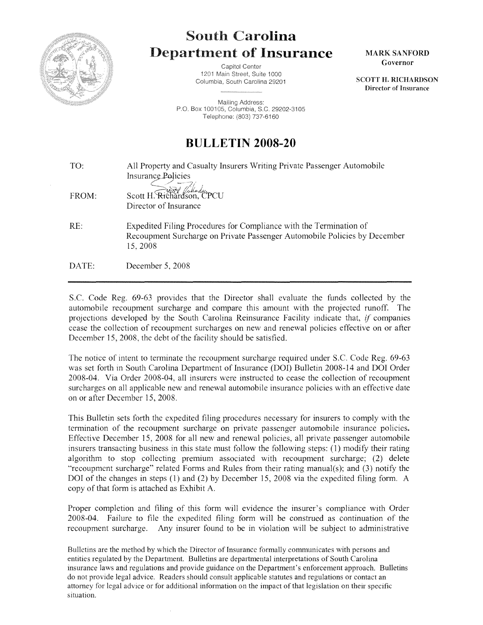

## **South Carolina** Department of **Insurance**

Capitol Center 1201 Main Street, Suite 1000 Columbia, South Carolina 29201

Mailing Address: P.O. Box 100105, Columbia, S.C. 29202-3105 Telephone: (803) 737-6160

**BULLETIN 2008-20** 

TO: FROM: RE: DATE: All Property and Casualty Insurers Writing Private Passenger Automobile Insurance Policies Scott H. Richardson, CPCU Director of Insurance Expedited Filing Procedures for Compliance with the Termination of Recoupment Surcharge on Private Passenger Automobile Policies by December 15,2008 December 5, 2008

S.C. Code Reg. 69-63 provides that the Director shall evaluate the funds collected by the automobile recoupment surcharge and compare this amount with the projected runoff. The projections developed by the South Carolina Reinsurance Facility indicate that, if companies cease the collection of recoupment surcharges on new and renewal policies effective on or after December 15, 2008, the debt of the facility should be satisfied.

The notice of intent to terminate the recoupment surcharge required under S.C. Code Reg. 69-63 was set forth in South Carolina Department of Insurance (DOI) Bulletin 2008-14 and DOI Order 2008-04. Via Order 2008-04, all insurers were instructed to cease the collection of recoupment surcharges on all applicable new and renewal automobile insurance policies with an effective date on or after December 15, 2008.

This Bulletin sets forth the expedited filing procedures necessary for insurers to comply with the termination of the recoupment surcharge on private passenger automobile insurance policies. Effective December 15, 2008 for all new and renewal policies, all private passenger automobile insurers transacting business in this state must follow the following steps: (1) modify their rating algorithm to stop collecting premium associated with recoupment surcharge; (2) delete "recoupment surcharge" related Forms and Rules from their rating manual(s); and (3) notify the DOI of the changes in steps (1) and (2) by December 15, 2008 via the expedited filing form. A copy of that form is attached as Exhibit A.

Proper completion and filing of this form will evidence the insurer's compliance with Order 2008-04. Failure to file the expedited filing form will be construed as continuation of the recoupment surcharge. Any insurer found to be in violation will be subject to administrative

Bulletins are the method by which the Director of Insurance formally communicates with persons and entities regulated by the Department. Bulletins are departmental interpretations of South Carolina insurance laws and regulations and provide guidance on the Department's enforcement approach. Bulletins do not provide legal advice. Readers should consult applicable statutes and regulations or contact an attorney for legal advice or for additional information on the impact of that legislation on their specific situation.

MARK SANFORD Governor

SCOTT H. RICHARDSON Director of Insurance